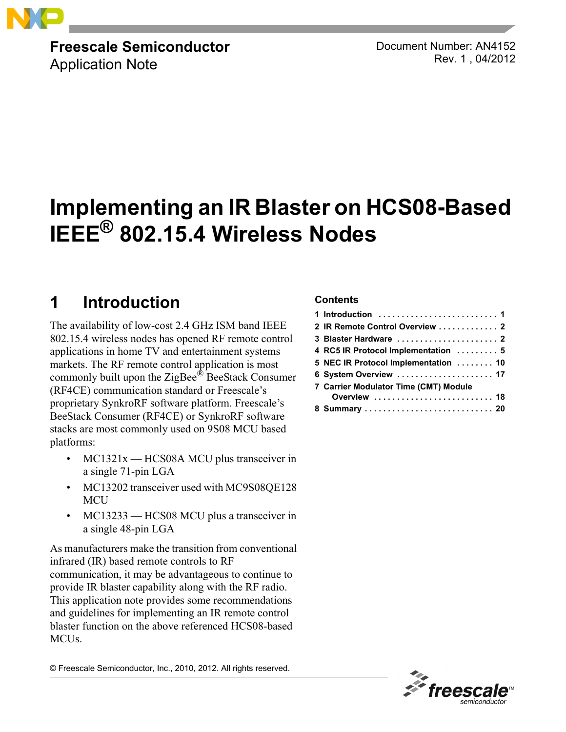

### **Freescale Semiconductor** Application Note

Document Number: AN4152 Rev. 1 , 04/2012

# **Implementing an IR Blaster on HCS08-Based IEEE® 802.15.4 Wireless Nodes**

## **1 Introduction**

The availability of low-cost 2.4 GHz ISM band IEEE 802.15.4 wireless nodes has opened RF remote control applications in home TV and entertainment systems markets. The RF remote control application is most commonly built upon the ZigBee® BeeStack Consumer (RF4CE) communication standard or Freescale's proprietary SynkroRF software platform. Freescale's BeeStack Consumer (RF4CE) or SynkroRF software stacks are most commonly used on 9S08 MCU based platforms:

- MC1321x HCS08A MCU plus transceiver in a single 71-pin LGA
- MC13202 transceiver used with MC9S08QE128 MCU
- MC13233 HCS08 MCU plus a transceiver in a single 48-pin LGA

As manufacturers make the transition from conventional infrared (IR) based remote controls to RF communication, it may be advantageous to continue to provide IR blaster capability along with the RF radio. This application note provides some recommendations and guidelines for implementing an IR remote control blaster function on the above referenced HCS08-based MCUs.

© Freescale Semiconductor, Inc., 2010, 2012. All rights reserved.

### **Contents**

| 2 IR Remote Control Overview  2       |
|---------------------------------------|
| 3 Blaster Hardware  2                 |
| 4 RC5 IR Protocol Implementation  5   |
| 5 NEC IR Protocol Implementation  10  |
| 6 System Overview  17                 |
| 7 Carrier Modulator Time (CMT) Module |
| Overview  18                          |
| 8 Summary  20                         |
|                                       |

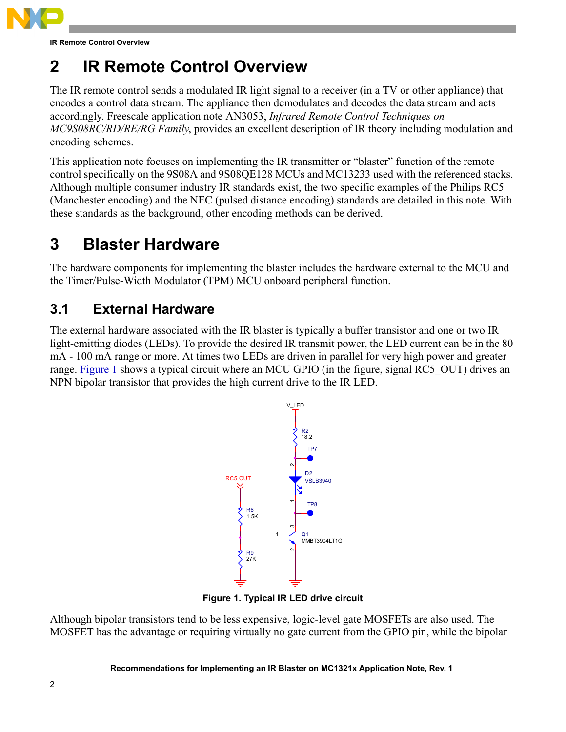

**IR Remote Control Overview**

## **2 IR Remote Control Overview**

The IR remote control sends a modulated IR light signal to a receiver (in a TV or other appliance) that encodes a control data stream. The appliance then demodulates and decodes the data stream and acts accordingly. Freescale application note AN3053, *Infrared Remote Control Techniques on MC9S08RC/RD/RE/RG Family*, provides an excellent description of IR theory including modulation and encoding schemes.

This application note focuses on implementing the IR transmitter or "blaster" function of the remote control specifically on the 9S08A and 9S08QE128 MCUs and MC13233 used with the referenced stacks. Although multiple consumer industry IR standards exist, the two specific examples of the Philips RC5 (Manchester encoding) and the NEC (pulsed distance encoding) standards are detailed in this note. With these standards as the background, other encoding methods can be derived.

## **3 Blaster Hardware**

The hardware components for implementing the blaster includes the hardware external to the MCU and the Timer/Pulse-Width Modulator (TPM) MCU onboard peripheral function.

## **3.1 External Hardware**

The external hardware associated with the IR blaster is typically a buffer transistor and one or two IR light-emitting diodes (LEDs). To provide the desired IR transmit power, the LED current can be in the 80 mA - 100 mA range or more. At times two LEDs are driven in parallel for very high power and greater range. [Figure 1](#page-1-0) shows a typical circuit where an MCU GPIO (in the figure, signal RC5\_OUT) drives an NPN bipolar transistor that provides the high current drive to the IR LED.



**Figure 1. Typical IR LED drive circuit**

<span id="page-1-0"></span>Although bipolar transistors tend to be less expensive, logic-level gate MOSFETs are also used. The MOSFET has the advantage or requiring virtually no gate current from the GPIO pin, while the bipolar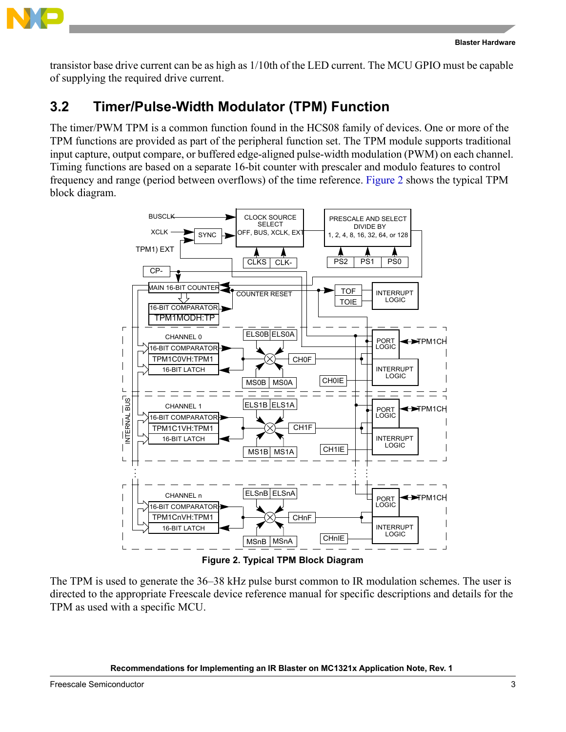

transistor base drive current can be as high as 1/10th of the LED current. The MCU GPIO must be capable of supplying the required drive current.

### **3.2 Timer/Pulse-Width Modulator (TPM) Function**

The timer/PWM TPM is a common function found in the HCS08 family of devices. One or more of the TPM functions are provided as part of the peripheral function set. The TPM module supports traditional input capture, output compare, or buffered edge-aligned pulse-width modulation (PWM) on each channel. Timing functions are based on a separate 16-bit counter with prescaler and modulo features to control frequency and range (period between overflows) of the time reference. [Figure 2](#page-2-0) shows the typical TPM block diagram.



<span id="page-2-0"></span>The TPM is used to generate the 36–38 kHz pulse burst common to IR modulation schemes. The user is directed to the appropriate Freescale device reference manual for specific descriptions and details for the TPM as used with a specific MCU.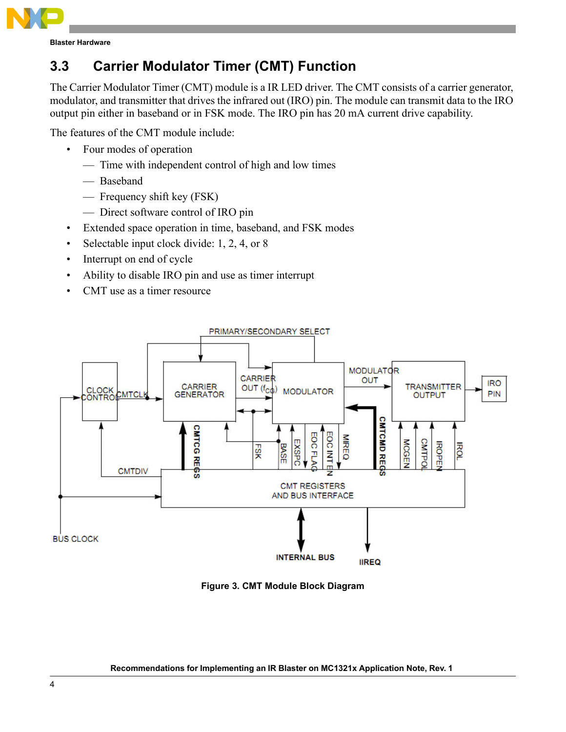

**Blaster Hardware**

### **3.3 Carrier Modulator Timer (CMT) Function**

The Carrier Modulator Timer (CMT) module is a IR LED driver. The CMT consists of a carrier generator, modulator, and transmitter that drives the infrared out (IRO) pin. The module can transmit data to the IRO output pin either in baseband or in FSK mode. The IRO pin has 20 mA current drive capability.

The features of the CMT module include:

- Four modes of operation
	- Time with independent control of high and low times
	- Baseband
	- Frequency shift key (FSK)
	- Direct software control of IRO pin
- Extended space operation in time, baseband, and FSK modes
- Selectable input clock divide: 1, 2, 4, or 8
- Interrupt on end of cycle
- Ability to disable IRO pin and use as timer interrupt
- CMT use as a timer resource



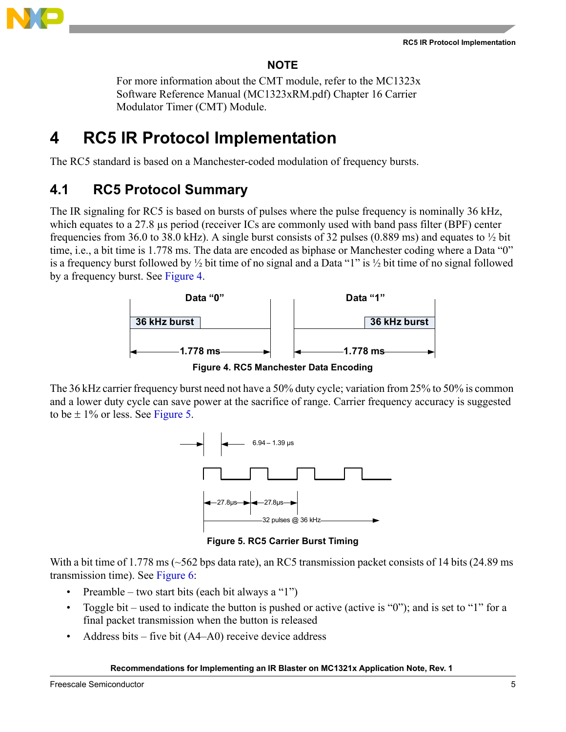

### **NOTE**

For more information about the CMT module, refer to the MC1323x Software Reference Manual (MC1323xRM.pdf) Chapter 16 Carrier Modulator Timer (CMT) Module.

## **4 RC5 IR Protocol Implementation**

The RC5 standard is based on a Manchester-coded modulation of frequency bursts.

### **4.1 RC5 Protocol Summary**

The IR signaling for RC5 is based on bursts of pulses where the pulse frequency is nominally 36 kHz, which equates to a 27.8 µs period (receiver ICs are commonly used with band pass filter (BPF) center frequencies from 36.0 to 38.0 kHz). A single burst consists of 32 pulses (0.889 ms) and equates to  $\frac{1}{2}$  bit time, i.e., a bit time is 1.778 ms. The data are encoded as biphase or Manchester coding where a Data "0" is a frequency burst followed by ½ bit time of no signal and a Data "1" is ½ bit time of no signal followed by a frequency burst. See [Figure 4.](#page-4-0)



**Figure 4. RC5 Manchester Data Encoding**

<span id="page-4-0"></span>The 36 kHz carrier frequency burst need not have a 50% duty cycle; variation from 25% to 50% is common and a lower duty cycle can save power at the sacrifice of range. Carrier frequency accuracy is suggested to be  $\pm$  1% or less. See [Figure 5.](#page-4-1)



**Figure 5. RC5 Carrier Burst Timing**

<span id="page-4-1"></span>With a bit time of 1.778 ms (~562 bps data rate), an RC5 transmission packet consists of 14 bits (24.89 ms transmission time). See [Figure 6:](#page-5-0)

- Preamble two start bits (each bit always a "1")
- Toggle bit used to indicate the button is pushed or active (active is "0"); and is set to "1" for a final packet transmission when the button is released
- Address bits five bit  $(A4–A0)$  receive device address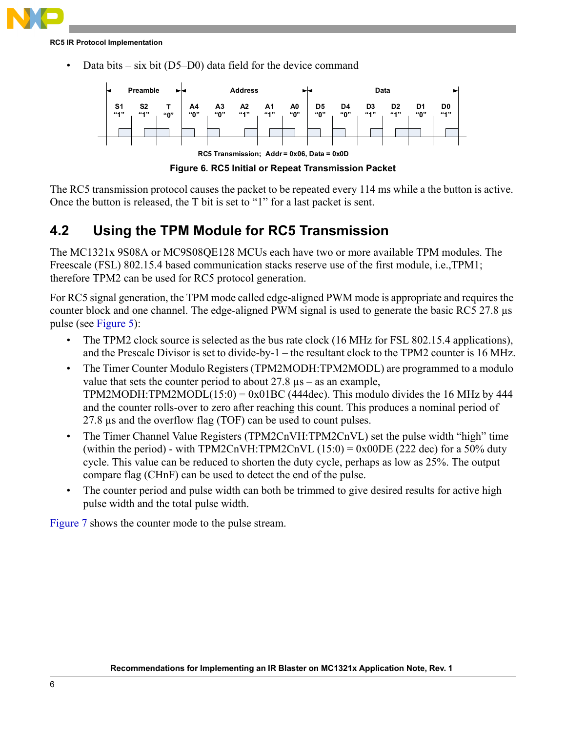

#### **RC5 IR Protocol Implementation**

Data bits – six bit ( $D5-D0$ ) data field for the device command



**Figure 6. RC5 Initial or Repeat Transmission Packet**

<span id="page-5-0"></span>The RC5 transmission protocol causes the packet to be repeated every 114 ms while a the button is active. Once the button is released, the T bit is set to "1" for a last packet is sent.

## <span id="page-5-1"></span>**4.2 Using the TPM Module for RC5 Transmission**

The MC1321x 9S08A or MC9S08QE128 MCUs each have two or more available TPM modules. The Freescale (FSL) 802.15.4 based communication stacks reserve use of the first module, i.e.,TPM1; therefore TPM2 can be used for RC5 protocol generation.

For RC5 signal generation, the TPM mode called edge-aligned PWM mode is appropriate and requires the counter block and one channel. The edge-aligned PWM signal is used to generate the basic RC5 27.8 µs pulse (see [Figure 5\)](#page-4-1):

- The TPM2 clock source is selected as the bus rate clock (16 MHz for FSL 802.15.4 applications), and the Prescale Divisor is set to divide-by-1 – the resultant clock to the TPM2 counter is 16 MHz.
- The Timer Counter Modulo Registers (TPM2MODH:TPM2MODL) are programmed to a modulo value that sets the counter period to about  $27.8 \text{ }\mu\text{s}$  – as an example, TPM2MODH:TPM2MODL $(15:0) = 0x01BC$  (444dec). This modulo divides the 16 MHz by 444 and the counter rolls-over to zero after reaching this count. This produces a nominal period of 27.8 µs and the overflow flag (TOF) can be used to count pulses.
- The Timer Channel Value Registers (TPM2CnVH:TPM2CnVL) set the pulse width "high" time (within the period) - with TPM2CnVH:TPM2CnVL  $(15:0) = 0x00DE(222$  dec) for a 50% duty cycle. This value can be reduced to shorten the duty cycle, perhaps as low as 25%. The output compare flag (CHnF) can be used to detect the end of the pulse.
- The counter period and pulse width can both be trimmed to give desired results for active high pulse width and the total pulse width.

[Figure 7](#page-6-0) shows the counter mode to the pulse stream.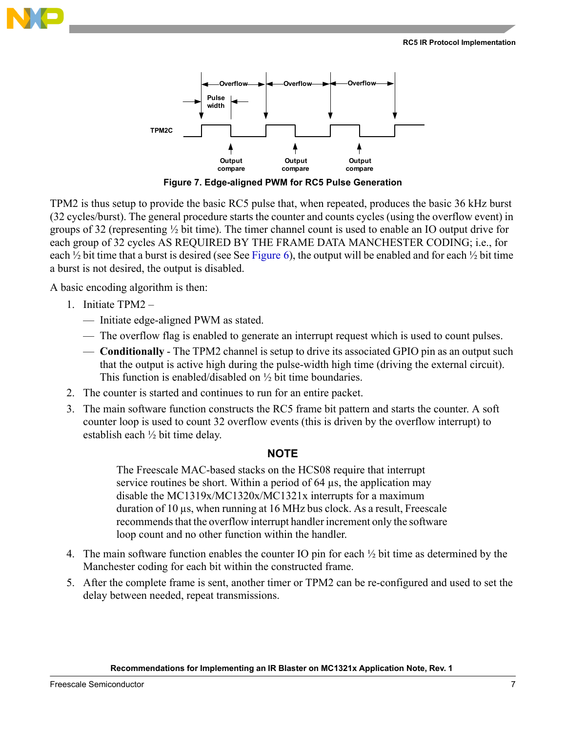



**Figure 7. Edge-aligned PWM for RC5 Pulse Generation**

<span id="page-6-0"></span>TPM2 is thus setup to provide the basic RC5 pulse that, when repeated, produces the basic 36 kHz burst (32 cycles/burst). The general procedure starts the counter and counts cycles (using the overflow event) in groups of 32 (representing ½ bit time). The timer channel count is used to enable an IO output drive for each group of 32 cycles AS REQUIRED BY THE FRAME DATA MANCHESTER CODING; i.e., for each ½ bit time that a burst is desired (see See [Figure 6\)](#page-5-0), the output will be enabled and for each ½ bit time a burst is not desired, the output is disabled.

A basic encoding algorithm is then:

- 1. Initiate TPM2
	- Initiate edge-aligned PWM as stated.
	- The overflow flag is enabled to generate an interrupt request which is used to count pulses.
	- **Conditionally** The TPM2 channel is setup to drive its associated GPIO pin as an output such that the output is active high during the pulse-width high time (driving the external circuit). This function is enabled/disabled on ½ bit time boundaries.
- 2. The counter is started and continues to run for an entire packet.
- 3. The main software function constructs the RC5 frame bit pattern and starts the counter. A soft counter loop is used to count 32 overflow events (this is driven by the overflow interrupt) to establish each ½ bit time delay.

#### **NOTE**

The Freescale MAC-based stacks on the HCS08 require that interrupt service routines be short. Within a period of 64 µs, the application may disable the MC1319x/MC1320x/MC1321x interrupts for a maximum duration of 10 µs, when running at 16 MHz bus clock. As a result, Freescale recommends that the overflow interrupt handler increment only the software loop count and no other function within the handler.

- 4. The main software function enables the counter IO pin for each ½ bit time as determined by the Manchester coding for each bit within the constructed frame.
- 5. After the complete frame is sent, another timer or TPM2 can be re-configured and used to set the delay between needed, repeat transmissions.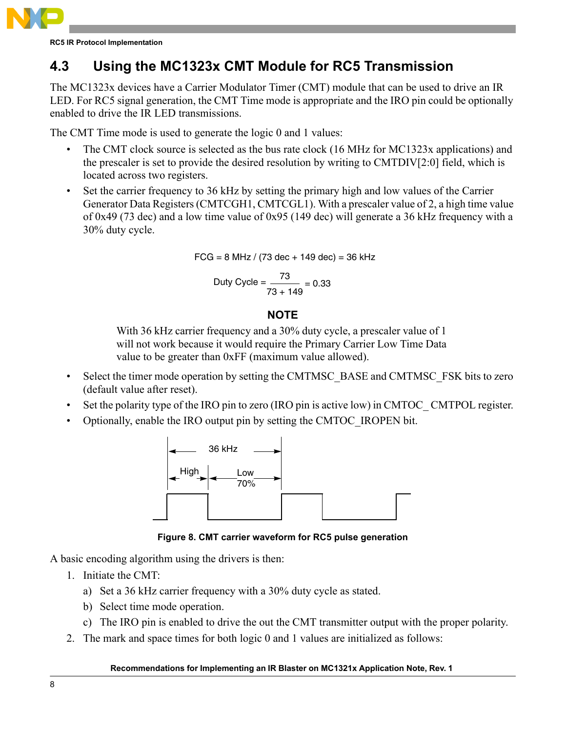

**RC5 IR Protocol Implementation**

## <span id="page-7-0"></span>**4.3 Using the MC1323x CMT Module for RC5 Transmission**

The MC1323x devices have a Carrier Modulator Timer (CMT) module that can be used to drive an IR LED. For RC5 signal generation, the CMT Time mode is appropriate and the IRO pin could be optionally enabled to drive the IR LED transmissions.

The CMT Time mode is used to generate the logic 0 and 1 values:

- The CMT clock source is selected as the bus rate clock (16 MHz for MC1323x applications) and the prescaler is set to provide the desired resolution by writing to CMTDIV[2:0] field, which is located across two registers.
- Set the carrier frequency to 36 kHz by setting the primary high and low values of the Carrier Generator Data Registers (CMTCGH1, CMTCGL1). With a prescaler value of 2, a high time value of 0x49 (73 dec) and a low time value of 0x95 (149 dec) will generate a 36 kHz frequency with a 30% duty cycle.

$$
FCG = 8 MHz / (73 dec + 149 dec) = 36 kHz
$$

Duty Cycle = 
$$
\frac{73}{73 + 149} = 0.33
$$

#### **NOTE**

With 36 kHz carrier frequency and a 30% duty cycle, a prescaler value of 1 will not work because it would require the Primary Carrier Low Time Data value to be greater than 0xFF (maximum value allowed).

- Select the timer mode operation by setting the CMTMSC\_BASE and CMTMSC\_FSK bits to zero (default value after reset).
- Set the polarity type of the IRO pin to zero (IRO pin is active low) in CMTOC CMTPOL register.
- Optionally, enable the IRO output pin by setting the CMTOC\_IROPEN bit.



**Figure 8. CMT carrier waveform for RC5 pulse generation**

A basic encoding algorithm using the drivers is then:

- 1. Initiate the CMT:
	- a) Set a 36 kHz carrier frequency with a 30% duty cycle as stated.
	- b) Select time mode operation.
	- c) The IRO pin is enabled to drive the out the CMT transmitter output with the proper polarity.
- 2. The mark and space times for both logic 0 and 1 values are initialized as follows: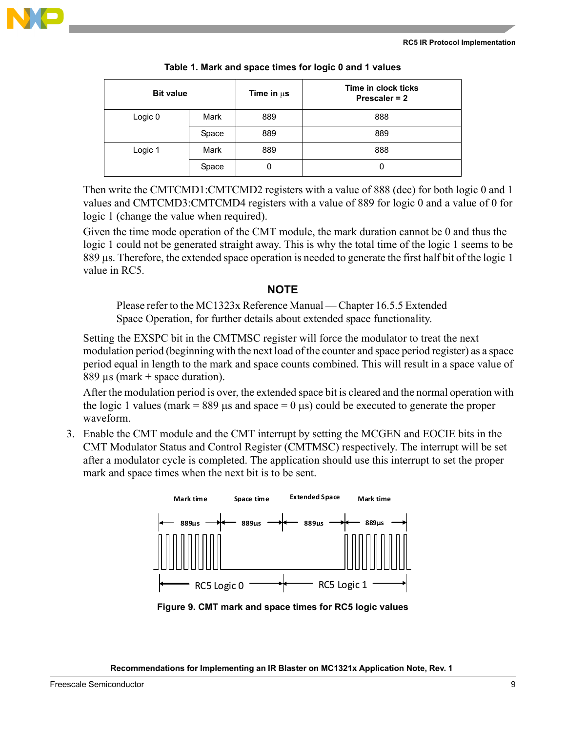

| <b>Bit value</b> |       | Time in $\mu$ s | Time in clock ticks<br>Prescaler = 2 |
|------------------|-------|-----------------|--------------------------------------|
| Logic 0          | Mark  | 889             | 888                                  |
|                  | Space | 889             | 889                                  |
| Logic 1          | Mark  | 889             | 888                                  |
|                  | Space | 0               | U                                    |

| Table 1. Mark and space times for logic 0 and 1 values |
|--------------------------------------------------------|
|--------------------------------------------------------|

Then write the CMTCMD1:CMTCMD2 registers with a value of 888 (dec) for both logic 0 and 1 values and CMTCMD3:CMTCMD4 registers with a value of 889 for logic 0 and a value of 0 for logic 1 (change the value when required).

Given the time mode operation of the CMT module, the mark duration cannot be 0 and thus the logic 1 could not be generated straight away. This is why the total time of the logic 1 seems to be 889 µs. Therefore, the extended space operation is needed to generate the first half bit of the logic 1 value in RC5.

#### **NOTE**

Please refer to the MC1323x Reference Manual — Chapter 16.5.5 Extended Space Operation, for further details about extended space functionality.

Setting the EXSPC bit in the CMTMSC register will force the modulator to treat the next modulation period (beginning with the next load of the counter and space period register) as a space period equal in length to the mark and space counts combined. This will result in a space value of 889  $\mu$ s (mark + space duration).

After the modulation period is over, the extended space bit is cleared and the normal operation with the logic 1 values (mark = 889  $\mu$ s and space = 0  $\mu$ s) could be executed to generate the proper waveform.

3. Enable the CMT module and the CMT interrupt by setting the MCGEN and EOCIE bits in the CMT Modulator Status and Control Register (CMTMSC) respectively. The interrupt will be set after a modulator cycle is completed. The application should use this interrupt to set the proper mark and space times when the next bit is to be sent.



**Figure 9. CMT mark and space times for RC5 logic values**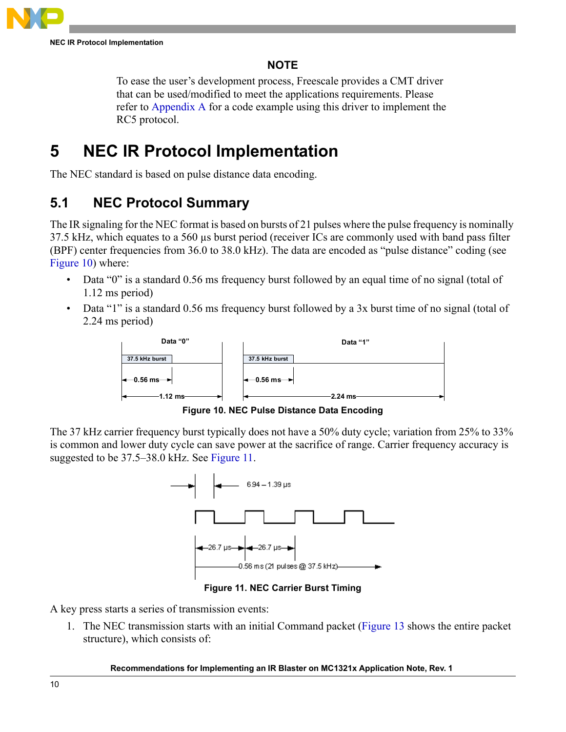### **NOTE**

To ease the user's development process, Freescale provides a CMT driver that can be used/modified to meet the applications requirements. Please refer to [Appendix A](#page-16-0) for a code example using this driver to implement the RC5 protocol.

## **5 NEC IR Protocol Implementation**

The NEC standard is based on pulse distance data encoding.

## **5.1 NEC Protocol Summary**

The IR signaling for the NEC format is based on bursts of 21 pulses where the pulse frequency is nominally 37.5 kHz, which equates to a 560 µs burst period (receiver ICs are commonly used with band pass filter (BPF) center frequencies from 36.0 to 38.0 kHz). The data are encoded as "pulse distance" coding (see [Figure 10](#page-9-1)) where:

- Data "0" is a standard 0.56 ms frequency burst followed by an equal time of no signal (total of 1.12 ms period)
- Data "1" is a standard 0.56 ms frequency burst followed by a 3x burst time of no signal (total of 2.24 ms period)



**Figure 10. NEC Pulse Distance Data Encoding**

<span id="page-9-1"></span>The 37 kHz carrier frequency burst typically does not have a 50% duty cycle; variation from 25% to 33% is common and lower duty cycle can save power at the sacrifice of range. Carrier frequency accuracy is suggested to be 37.5–38.0 kHz. See [Figure 11](#page-9-0).



**Figure 11. NEC Carrier Burst Timing**

<span id="page-9-0"></span>A key press starts a series of transmission events:

1. The NEC transmission starts with an initial Command packet ([Figure 13](#page-10-0) shows the entire packet structure), which consists of: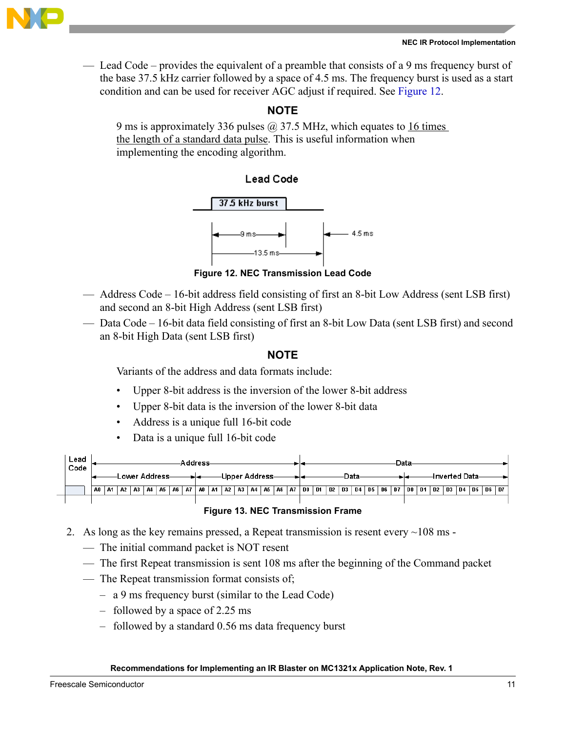



— Lead Code – provides the equivalent of a preamble that consists of a 9 ms frequency burst of the base 37.5 kHz carrier followed by a space of 4.5 ms. The frequency burst is used as a start condition and can be used for receiver AGC adjust if required. See [Figure 12](#page-10-1).

### **NOTE**

9 ms is approximately 336 pulses  $\omega$  37.5 MHz, which equates to 16 times the length of a standard data pulse. This is useful information when implementing the encoding algorithm.





**Figure 12. NEC Transmission Lead Code**

- <span id="page-10-1"></span>— Address Code – 16-bit address field consisting of first an 8-bit Low Address (sent LSB first) and second an 8-bit High Address (sent LSB first)
- Data Code 16-bit data field consisting of first an 8-bit Low Data (sent LSB first) and second an 8-bit High Data (sent LSB first)

### **NOTE**

Variants of the address and data formats include:

- Upper 8-bit address is the inversion of the lower 8-bit address
- Upper 8-bit data is the inversion of the lower 8-bit data
- Address is a unique full 16-bit code
- Data is a unique full 16-bit code

| Lead<br>Code | <b>Address</b> |  |           |  |  |  |                | -Data |  |                 |  |  |  |  |      |  |  |  |  |  |  |                                                                                                                                                     |                 |  |  |
|--------------|----------------|--|-----------|--|--|--|----------------|-------|--|-----------------|--|--|--|--|------|--|--|--|--|--|--|-----------------------------------------------------------------------------------------------------------------------------------------------------|-----------------|--|--|
|              |                |  |           |  |  |  | Lower Address- |       |  | -Upper Address- |  |  |  |  | Data |  |  |  |  |  |  |                                                                                                                                                     | -Inverted Data- |  |  |
|              | AO '           |  | <b>A1</b> |  |  |  |                |       |  |                 |  |  |  |  |      |  |  |  |  |  |  | A2   A3   A4   A5   A6   A7   A0   A1   A2   A3   A4   A5   A6   A7   D0   D1   D2   D3   D4   D5   D6   D7   D0   D1   D2   D3   D4   D5   D6   D7 |                 |  |  |
|              |                |  |           |  |  |  |                |       |  |                 |  |  |  |  |      |  |  |  |  |  |  |                                                                                                                                                     |                 |  |  |

### **Figure 13. NEC Transmission Frame**

- <span id="page-10-0"></span>2. As long as the key remains pressed, a Repeat transmission is resent every  $\sim$ 108 ms -
	- The initial command packet is NOT resent
	- The first Repeat transmission is sent 108 ms after the beginning of the Command packet
	- The Repeat transmission format consists of;
		- a 9 ms frequency burst (similar to the Lead Code)
		- followed by a space of 2.25 ms
		- followed by a standard 0.56 ms data frequency burst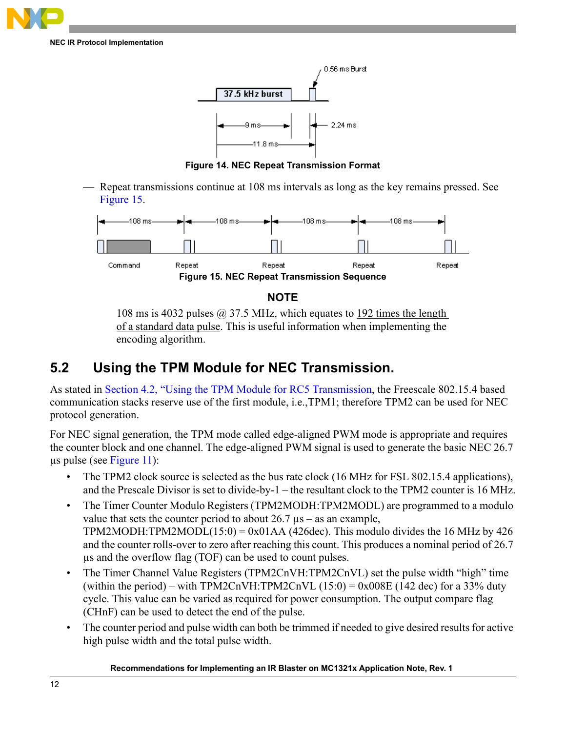

**NEC IR Protocol Implementation**



**Figure 14. NEC Repeat Transmission Format**

— Repeat transmissions continue at 108 ms intervals as long as the key remains pressed. See [Figure 15](#page-11-0).

<span id="page-11-0"></span>

#### **NOTE**

108 ms is 4032 pulses  $\omega$  37.5 MHz, which equates to 192 times the length of a standard data pulse. This is useful information when implementing the encoding algorithm.

### **5.2 Using the TPM Module for NEC Transmission.**

As stated in [Section 4.2, "Using the TPM Module for RC5 Transmission](#page-5-1), the Freescale 802.15.4 based communication stacks reserve use of the first module, i.e.,TPM1; therefore TPM2 can be used for NEC protocol generation.

For NEC signal generation, the TPM mode called edge-aligned PWM mode is appropriate and requires the counter block and one channel. The edge-aligned PWM signal is used to generate the basic NEC 26.7 µs pulse (see [Figure 11](#page-9-0)):

- The TPM2 clock source is selected as the bus rate clock (16 MHz for FSL 802.15.4 applications), and the Prescale Divisor is set to divide-by-1 – the resultant clock to the TPM2 counter is 16 MHz.
- The Timer Counter Modulo Registers (TPM2MODH:TPM2MODL) are programmed to a modulo value that sets the counter period to about  $26.7 \mu s - as$  an example, TPM2MODH:TPM2MODL $(15:0) = 0x01AA$  (426dec). This modulo divides the 16 MHz by 426 and the counter rolls-over to zero after reaching this count. This produces a nominal period of 26.7 µs and the overflow flag (TOF) can be used to count pulses.
- The Timer Channel Value Registers (TPM2CnVH:TPM2CnVL) set the pulse width "high" time (within the period) – with TPM2CnVH:TPM2CnVL  $(15:0) = 0x008E(142 \text{ dec})$  for a 33% duty cycle. This value can be varied as required for power consumption. The output compare flag (CHnF) can be used to detect the end of the pulse.
- The counter period and pulse width can both be trimmed if needed to give desired results for active high pulse width and the total pulse width.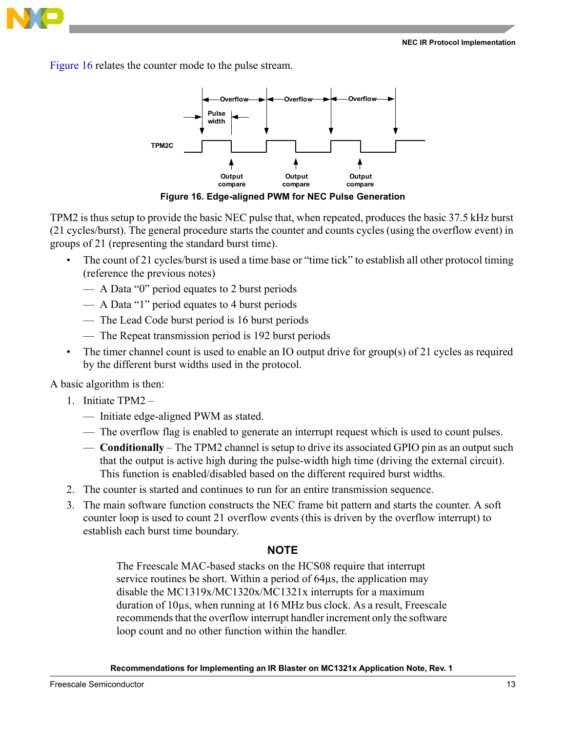#### **NEC IR Protocol Implementation**



[Figure 16](#page-12-0) relates the counter mode to the pulse stream.



**Figure 16. Edge-aligned PWM for NEC Pulse Generation**

<span id="page-12-0"></span>TPM2 is thus setup to provide the basic NEC pulse that, when repeated, produces the basic 37.5 kHz burst (21 cycles/burst). The general procedure starts the counter and counts cycles (using the overflow event) in groups of 21 (representing the standard burst time).

- The count of 21 cycles/burst is used a time base or "time tick" to establish all other protocol timing (reference the previous notes)
	- A Data "0" period equates to 2 burst periods
	- A Data "1" period equates to 4 burst periods
	- The Lead Code burst period is 16 burst periods
	- The Repeat transmission period is 192 burst periods
- The timer channel count is used to enable an IO output drive for group(s) of 21 cycles as required by the different burst widths used in the protocol.

A basic algorithm is then:

- 1. Initiate TPM2
	- Initiate edge-aligned PWM as stated.
	- The overflow flag is enabled to generate an interrupt request which is used to count pulses.
	- **Conditionally** The TPM2 channel is setup to drive its associated GPIO pin as an output such that the output is active high during the pulse-width high time (driving the external circuit). This function is enabled/disabled based on the different required burst widths.
- 2. The counter is started and continues to run for an entire transmission sequence.
- 3. The main software function constructs the NEC frame bit pattern and starts the counter. A soft counter loop is used to count 21 overflow events (this is driven by the overflow interrupt) to establish each burst time boundary.

### **NOTE**

The Freescale MAC-based stacks on the HCS08 require that interrupt service routines be short. Within a period of 64 $\mu$ s, the application may disable the MC1319x/MC1320x/MC1321x interrupts for a maximum duration of 10µs, when running at 16 MHz bus clock. As a result, Freescale recommends that the overflow interrupt handler increment only the software loop count and no other function within the handler.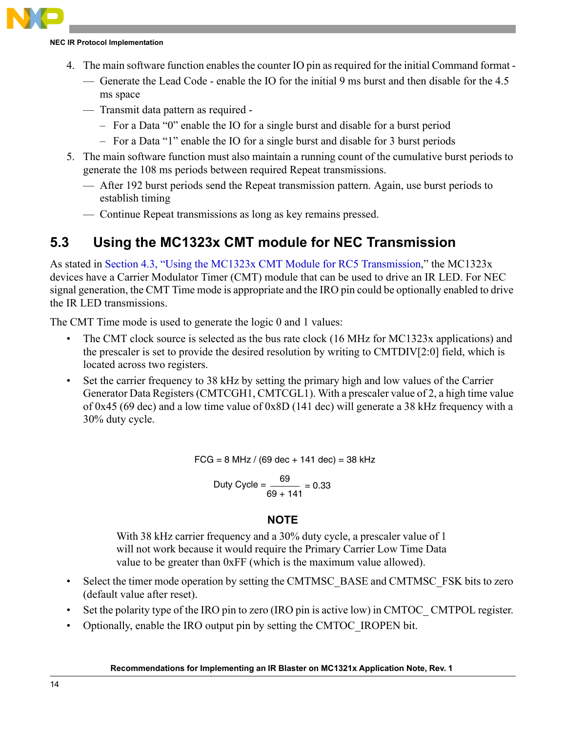

#### **NEC IR Protocol Implementation**

- 4. The main software function enables the counter IO pin as required for the initial Command format
	- Generate the Lead Code enable the IO for the initial 9 ms burst and then disable for the 4.5 ms space
	- Transmit data pattern as required
		- For a Data "0" enable the IO for a single burst and disable for a burst period
		- For a Data "1" enable the IO for a single burst and disable for 3 burst periods
- 5. The main software function must also maintain a running count of the cumulative burst periods to generate the 108 ms periods between required Repeat transmissions.
	- After 192 burst periods send the Repeat transmission pattern. Again, use burst periods to establish timing
	- Continue Repeat transmissions as long as key remains pressed.

### **5.3 Using the MC1323x CMT module for NEC Transmission**

As stated in [Section 4.3, "Using the MC1323x CMT Module for RC5 Transmission](#page-7-0)," the MC1323x devices have a Carrier Modulator Timer (CMT) module that can be used to drive an IR LED. For NEC signal generation, the CMT Time mode is appropriate and the IRO pin could be optionally enabled to drive the IR LED transmissions.

The CMT Time mode is used to generate the logic 0 and 1 values:

- The CMT clock source is selected as the bus rate clock (16 MHz for MC1323x applications) and the prescaler is set to provide the desired resolution by writing to CMTDIV[2:0] field, which is located across two registers.
- Set the carrier frequency to 38 kHz by setting the primary high and low values of the Carrier Generator Data Registers (CMTCGH1, CMTCGL1). With a prescaler value of 2, a high time value of 0x45 (69 dec) and a low time value of 0x8D (141 dec) will generate a 38 kHz frequency with a 30% duty cycle.

 $FGG = 8 MHz / (69 dec + 141 dec) = 38 kHz$ 

$$
Duty Cycle = \frac{69}{69 + 141} = 0.33
$$

### **NOTE**

With 38 kHz carrier frequency and a 30% duty cycle, a prescaler value of 1 will not work because it would require the Primary Carrier Low Time Data value to be greater than 0xFF (which is the maximum value allowed).

- Select the timer mode operation by setting the CMTMSC\_BASE and CMTMSC\_FSK bits to zero (default value after reset).
- Set the polarity type of the IRO pin to zero (IRO pin is active low) in CMTOC CMTPOL register.
- Optionally, enable the IRO output pin by setting the CMTOC\_IROPEN bit.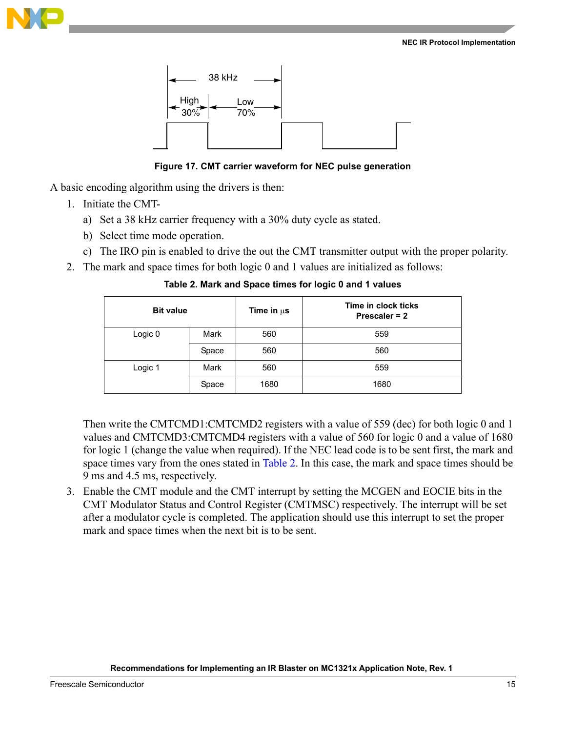



**Figure 17. CMT carrier waveform for NEC pulse generation**

A basic encoding algorithm using the drivers is then:

- 1. Initiate the CMT
	- a) Set a 38 kHz carrier frequency with a 30% duty cycle as stated.
	- b) Select time mode operation.
	- c) The IRO pin is enabled to drive the out the CMT transmitter output with the proper polarity.
- <span id="page-14-0"></span>2. The mark and space times for both logic 0 and 1 values are initialized as follows:

| <b>Bit value</b> |       | Time in $\mu$ s | Time in clock ticks<br>Prescaler = 2 |  |  |  |  |  |
|------------------|-------|-----------------|--------------------------------------|--|--|--|--|--|
| Logic 0          | Mark  | 560             | 559                                  |  |  |  |  |  |
|                  | Space | 560             | 560                                  |  |  |  |  |  |
| Logic 1          | Mark  | 560             | 559                                  |  |  |  |  |  |
|                  | Space | 1680            | 1680                                 |  |  |  |  |  |

**Table 2. Mark and Space times for logic 0 and 1 values**

Then write the CMTCMD1:CMTCMD2 registers with a value of 559 (dec) for both logic 0 and 1 values and CMTCMD3:CMTCMD4 registers with a value of 560 for logic 0 and a value of 1680 for logic 1 (change the value when required). If the NEC lead code is to be sent first, the mark and space times vary from the ones stated in [Table 2.](#page-14-0) In this case, the mark and space times should be 9 ms and 4.5 ms, respectively.

3. Enable the CMT module and the CMT interrupt by setting the MCGEN and EOCIE bits in the CMT Modulator Status and Control Register (CMTMSC) respectively. The interrupt will be set after a modulator cycle is completed. The application should use this interrupt to set the proper mark and space times when the next bit is to be sent.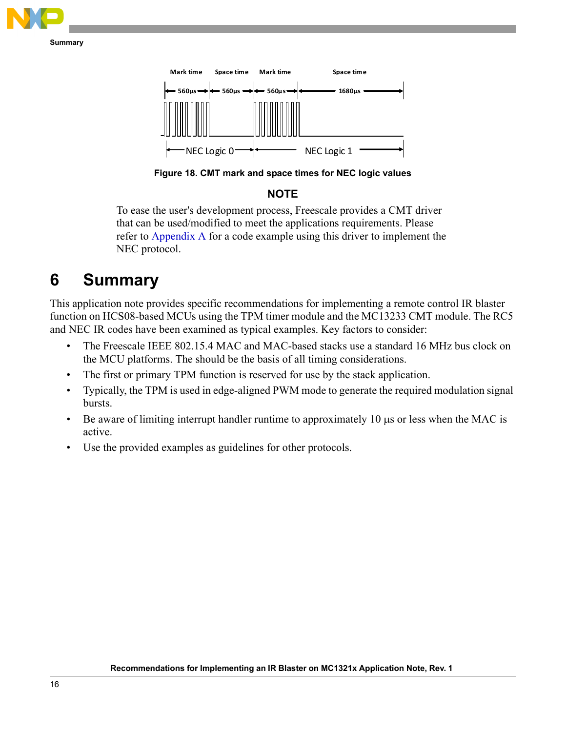



**Figure 18. CMT mark and space times for NEC logic values**

#### **NOTE**

To ease the user's development process, Freescale provides a CMT driver that can be used/modified to meet the applications requirements. Please refer to [Appendix A](#page-16-0) for a code example using this driver to implement the NEC protocol.

## **6 Summary**

This application note provides specific recommendations for implementing a remote control IR blaster function on HCS08-based MCUs using the TPM timer module and the MC13233 CMT module. The RC5 and NEC IR codes have been examined as typical examples. Key factors to consider:

- The Freescale IEEE 802.15.4 MAC and MAC-based stacks use a standard 16 MHz bus clock on the MCU platforms. The should be the basis of all timing considerations.
- The first or primary TPM function is reserved for use by the stack application.
- Typically, the TPM is used in edge-aligned PWM mode to generate the required modulation signal bursts.
- Be aware of limiting interrupt handler runtime to approximately 10  $\mu$ s or less when the MAC is active.
- Use the provided examples as guidelines for other protocols.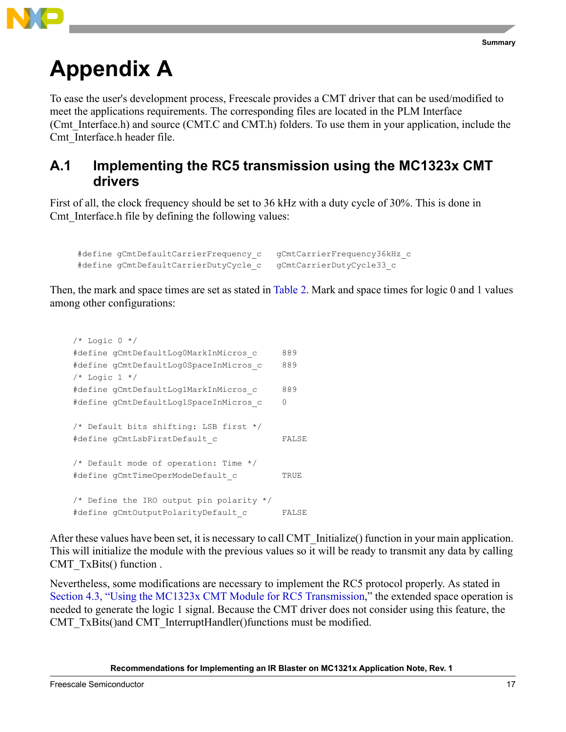

## <span id="page-16-0"></span>**Appendix A**

To ease the user's development process, Freescale provides a CMT driver that can be used/modified to meet the applications requirements. The corresponding files are located in the PLM Interface (Cmt Interface.h) and source (CMT.C and CMT.h) folders. To use them in your application, include the Cmt\_Interface.h header file.

### **A.1 Implementing the RC5 transmission using the MC1323x CMT drivers**

First of all, the clock frequency should be set to 36 kHz with a duty cycle of 30%. This is done in Cmt Interface.h file by defining the following values:

```
#define gCmtDefaultCarrierFrequency c gCmtCarrierFrequency36kHz c
#define gCmtDefaultCarrierDutyCycle c gCmtCarrierDutyCycle33 c
```
Then, the mark and space times are set as stated in [Table 2](#page-14-0). Mark and space times for logic 0 and 1 values among other configurations:

```
/* Logic 0 */#define gCmtDefaultLog0MarkInMicros_c 889
#define gCmtDefaultLog0SpaceInMicros_c 889
/* Logic 1 */#define gCmtDefaultLog1MarkInMicros_c 889
#define gCmtDefaultLog1SpaceInMicros_c 0
/* Default bits shifting: LSB first */
#define gCmtLsbFirstDefault_c FALSE
/* Default mode of operation: Time */
#define qCmtTimeOperModeDefault c TRUE
/* Define the IRO output pin polarity */
#define gCmtOutputPolarityDefault c FALSE
```
After these values have been set, it is necessary to call CMT Initialize() function in your main application. This will initialize the module with the previous values so it will be ready to transmit any data by calling CMT\_TxBits() function .

Nevertheless, some modifications are necessary to implement the RC5 protocol properly. As stated in [Section 4.3, "Using the MC1323x CMT Module for RC5 Transmission,](#page-7-0)" the extended space operation is needed to generate the logic 1 signal. Because the CMT driver does not consider using this feature, the CMT\_TxBits()and CMT\_InterruptHandler()functions must be modified.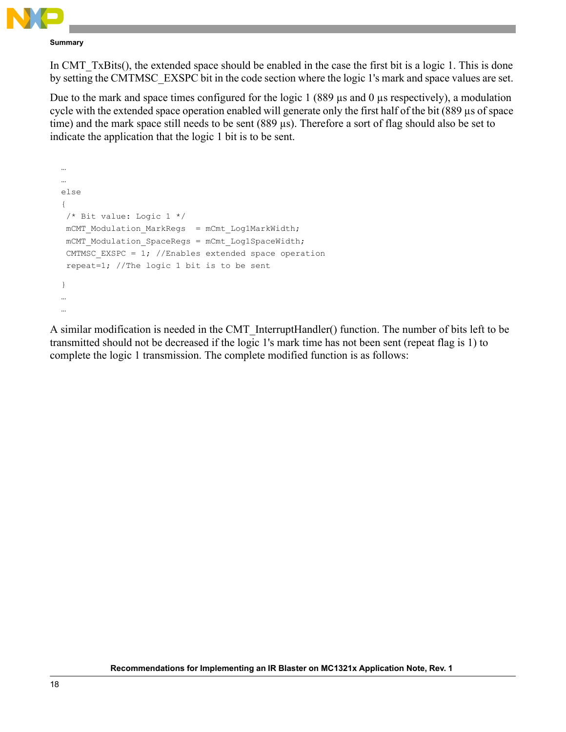

**Summary**

In CMT TxBits(), the extended space should be enabled in the case the first bit is a logic 1. This is done by setting the CMTMSC\_EXSPC bit in the code section where the logic 1's mark and space values are set.

Due to the mark and space times configured for the logic 1 (889 µs and 0 µs respectively), a modulation cycle with the extended space operation enabled will generate only the first half of the bit (889 µs of space time) and the mark space still needs to be sent (889 µs). Therefore a sort of flag should also be set to indicate the application that the logic 1 bit is to be sent.

```
… 
…
else
{
  /* Bit value: Logic 1 */ 
 mCMT_Modulation_MarkRegs = mCmt_Log1MarkWidth;
 mCMT Modulation SpaceRegs = mCmt Log1SpaceWidth;
 CMTMSC EXSPC = 1; //Enables extended space operation
  repeat=1; //The logic 1 bit is to be sent
}
…
…
```
A similar modification is needed in the CMT\_InterruptHandler() function. The number of bits left to be transmitted should not be decreased if the logic 1's mark time has not been sent (repeat flag is 1) to complete the logic 1 transmission. The complete modified function is as follows: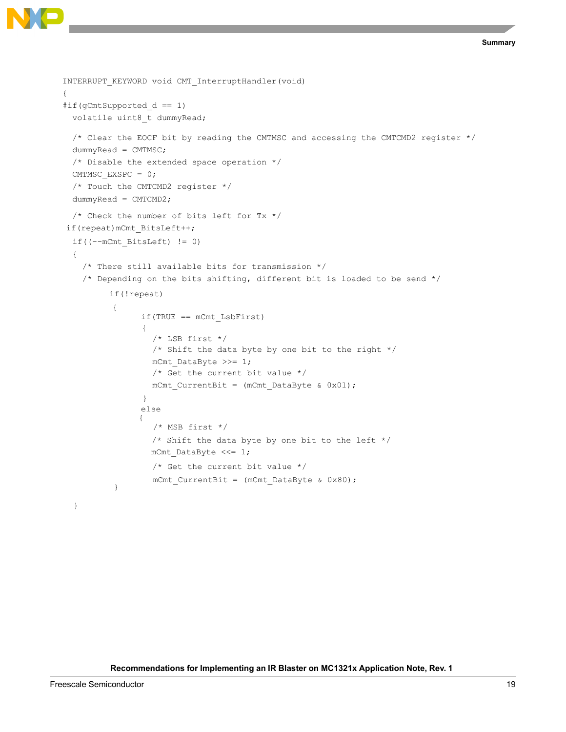#### **Summary**

```
INTERRUPT_KEYWORD void CMT_InterruptHandler(void)
 {
 #if(gCmtSupported_d == 1) 
  volatile uint8 t dummyRead;
    /* Clear the EOCF bit by reading the CMTMSC and accessing the CMTCMD2 register */
    dummyRead = CMTMSC;
    /* Disable the extended space operation */
    CMTMSC_EXSPC = 0; 
    /* Touch the CMTCMD2 register */
    dummyRead = CMTCMD2;

 if(repeat)mCmt_BitsLeft++;
   /* Check the number of bits left for Tx */ if((--mCmt_BitsLeft) != 0)
    {
      /* There still available bits for transmission */
      /* Depending on the bits shifting, different bit is loaded to be send */
           if(!repeat)
            {
                 if(TRUE == mCmt_LsbFirst)
                 {
                    /* LSB first */
                    /* Shift the data byte by one bit to the right */
                   mCmt DataByte >>= 1;
                    /* Get the current bit value */
                   mCmt CurrentBit = (mCmt DataByte & 0x01);
                 }
                 else
                 {
                    /* MSB first */
                    /* Shift the data byte by one bit to the left */ 
                    mCmt_DataByte <<= 1;
                    /* Get the current bit value */ 
           mCmt_CurrentBit = (mCmt_DataByte & 0x80); }
```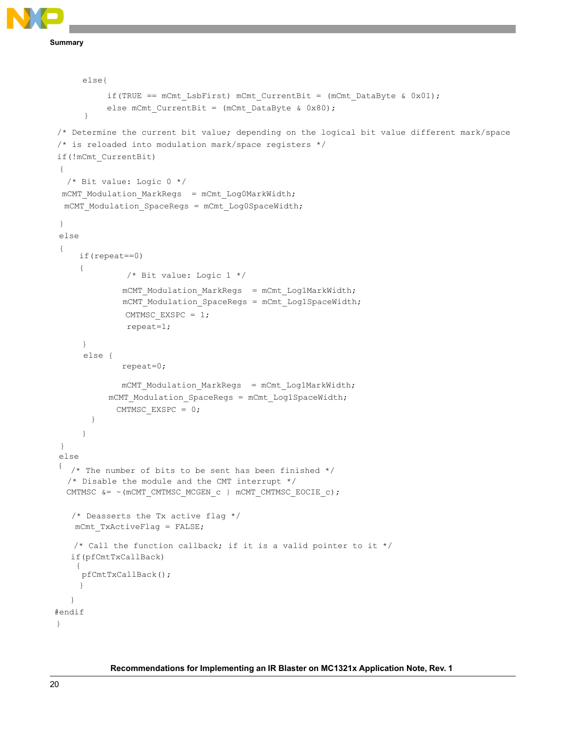

```
else{
            if(TRUE == mCmt_LsbFirst) mCmt_CurrentBit = (mCmt_LbAtaByte & 0x01);
            else mCmt CurrentBit = (mCmt DataByte & 0x80); }
  /* Determine the current bit value; depending on the logical bit value different mark/space g
  /* is reloaded into modulation mark/space registers */
  if(!mCmt_CurrentBit) 
  {
\left\{ \begin{array}{c} \end{array} \right. /* Bit value: Logic 0 */
  mCMT_Modulation_MarkRegs = mCmt_Log0MarkWidth;
  mCMT Modulation SpaceRegs = mCmt Log0SpaceWidth;
  }
  else
     if(repeat==0)
      {
                 /* Bit value: Logic 1 */ 
               mCMT_Modulation_MarkRegs = mCmt_Log1MarkWidth;
               mCMT Modulation SpaceRegs = mCmt Log1SpaceWidth;
                 CMTMSC_EXSPC = 1; 
                 repeat=1; 
      }
       else {
               repeat=0;
               mCMT_Modulation_MarkRegs = mCmt_Log1MarkWidth;
            mCMT Modulation SpaceRegs = mCmt Log1SpaceWidth;
               CMTMSC_EXSPC = 0;

 /* Disable the module and the CMT interrupt */
         }
  else
   \frac{1}{x} The number of bits to be sent has been finished */
   CMTMSC &= \sim (mCMT_CMTMSC_MCGEN_c | mCMT_CMTMSC_EOCIE_c);
    /* Deasserts the Tx active flag */
    mCmt TxActiveFlag = FALSE;

 if(pfCmtTxCallBack)
     /* Call the function callback; if it is a valid pointer to it */ 
      {
       pfCmtTxCallBack();
       }
  }
     }
     }
#endif
 }
```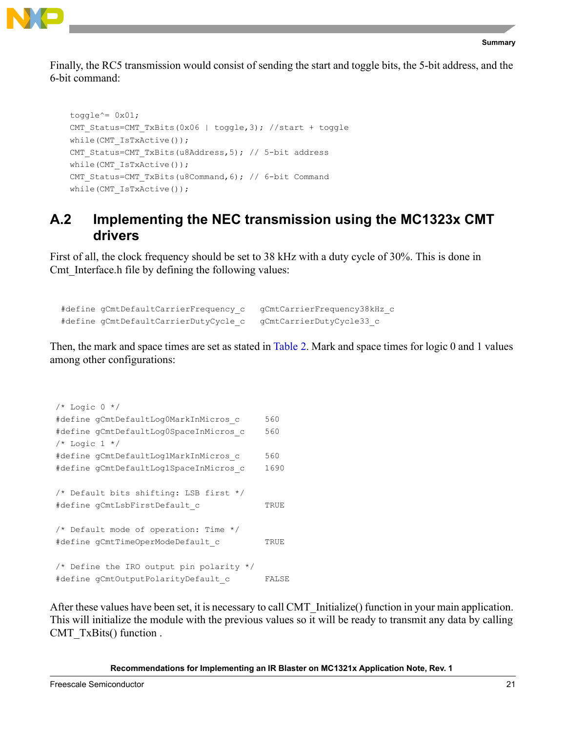Finally, the RC5 transmission would consist of sending the start and toggle bits, the 5-bit address, and the 6-bit command:

```
toggle^= 0x01;
CMT Status=CMT TxBits(0x06 | toggle,3); //start + toggle
while(CMT IsTxActive());
CMT Status=CMT TxBits(u8Address, 5); // 5-bit address
while(CMT_IsTxActive());
CMT Status=CMT TxBits(u8Command, 6); // 6-bit Command
while(CMT_IsTxActive());
```
### **A.2 Implementing the NEC transmission using the MC1323x CMT drivers**

First of all, the clock frequency should be set to 38 kHz with a duty cycle of 30%. This is done in Cmt Interface.h file by defining the following values:

```
#define gCmtDefaultCarrierFrequency c gCmtCarrierFrequency38kHz c
#define gCmtDefaultCarrierDutyCycle c gCmtCarrierDutyCycle33 c
```
Then, the mark and space times are set as stated in [Table 2](#page-14-0). Mark and space times for logic 0 and 1 values among other configurations:

```
/* Logic 0 */#define gCmtDefaultLog0MarkInMicros_c 560
#define gCmtDefaultLog0SpaceInMicros_c 560
/* Logic 1 */#define gCmtDefaultLog1MarkInMicros_c 560
#define gCmtDefaultLog1SpaceInMicros_c 1690
/* Default bits shifting: LSB first */
#define gCmtLsbFirstDefault_c TRUE
/* Default mode of operation: Time */
#define gCmtTimeOperModeDefault_c TRUE
/* Define the IRO output pin polarity */
#define gCmtOutputPolarityDefault c FALSE
```
After these values have been set, it is necessary to call CMT\_Initialize() function in your main application. This will initialize the module with the previous values so it will be ready to transmit any data by calling CMT TxBits() function .